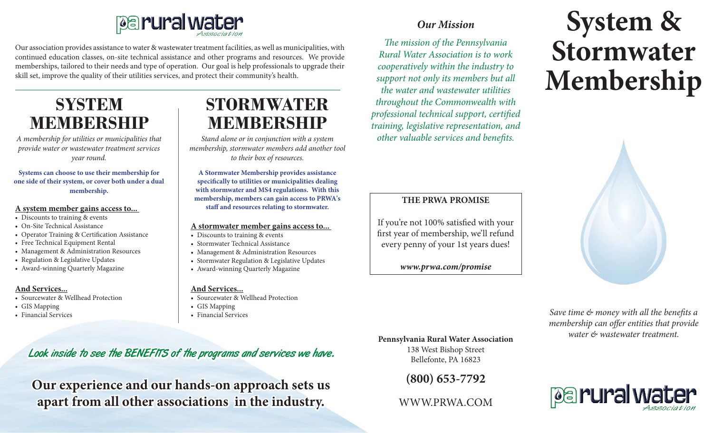

Our association provides assistance to water & wastewater treatment facilities, as well as municipalities, with continued education classes, on-site technical assistance and other programs and resources. We provide memberships, tailored to their needs and type of operation. Our goal is help professionals to upgrade their skill set, improve the quality of their utilities services, and protect their community's health.

# **SYSTEM MEMBERSHIP**

*A membership for utilities or municipalities that provide water or wastewater treatment services year round.*

**Systems can choose to use their membership for one side of their system, or cover both under a dual membership.**

#### **A system member gains access to...**

- Discounts to training & events
- On-Site Technical Assistance
- • Operator Training & Certification Assistance
- Free Technical Equipment Rental
- Management & Administration Resources
- Regulation & Legislative Updates
- • Award-winning Quarterly Magazine

#### **And Services...**

- Sourcewater & Wellhead Protection
- GIS Mapping
- • Financial Services

## **STORMWATER MEMBERSHIP**

*Stand alone or in conjunction with a system membership, stormwater members add another tool to their box of resources.*

**A Stormwater Membership provides assistance specifically to utilities or municipalities dealing with stormwater and MS4 regulations. With this membership, members can gain access to PRWA's staff and resources relating to stormwater.**

#### **A stormwater member gains access to...**

- Discounts to training & events
- Stormwater Technical Assistance
- Management & Administration Resources
- Stormwater Regulation & Legislative Updates
- Award-winning Quarterly Magazine

#### **And Services...**

- Sourcewater & Wellhead Protection
- GIS Mapping
- • Financial Services

## Look inside to see the BENEFITS of the programs and services we have.

**Our experience and our hands-on approach sets us apart from all other associations in the industry.**

## *Our Mission*

*The mission of the Pennsylvania Rural Water Association is to work cooperatively within the industry to support not only its members but all the water and wastewater utilities throughout the Commonwealth with professional technical support, certified training, legislative representation, and other valuable services and benefits.*

### **THE PRWA PROMISE**

If you're not 100% satisfied with your first year of membership, we'll refund every penny of your 1st years dues!

*www.prwa.com/promise*

# **System & Stormwater Membership**



*Save time & money with all the benefits a membership can offer entities that provide water & wastewater treatment.* **Pennsylvania Rural Water Association**

138 West Bishop Street Bellefonte, PA 16823

**(800) 653-7792**

WWW.PRWA.COM